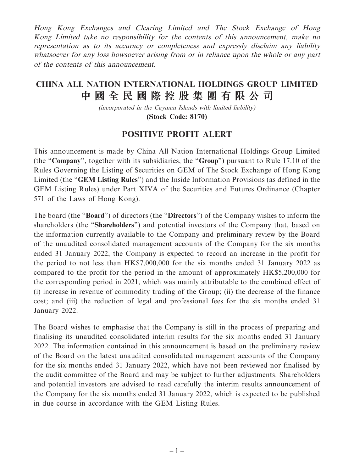Hong Kong Exchanges and Clearing Limited and The Stock Exchange of Hong Kong Limited take no responsibility for the contents of this announcement, make no representation as to its accuracy or completeness and expressly disclaim any liability whatsoever for any loss howsoever arising from or in reliance upon the whole or any part of the contents of this announcement.

## **CHINA ALL NATION INTERNATIONAL HOLDINGS GROUP LIMITED 中國全民國際控股集團有限公司**

(incorporated in the Cayman Islands with limited liability) **(Stock Code: 8170)**

## **POSITIVE PROFIT ALERT**

This announcement is made by China All Nation International Holdings Group Limited (the "**Company**", together with its subsidiaries, the "**Group**") pursuant to Rule 17.10 of the Rules Governing the Listing of Securities on GEM of The Stock Exchange of Hong Kong Limited (the "**GEM Listing Rules**") and the Inside Information Provisions (as defined in the GEM Listing Rules) under Part XIVA of the Securities and Futures Ordinance (Chapter 571 of the Laws of Hong Kong).

The board (the "**Board**") of directors (the "**Directors**") of the Company wishes to inform the shareholders (the "**Shareholders**") and potential investors of the Company that, based on the information currently available to the Company and preliminary review by the Board of the unaudited consolidated management accounts of the Company for the six months ended 31 January 2022, the Company is expected to record an increase in the profit for the period to not less than HK\$7,000,000 for the six months ended 31 January 2022 as compared to the profit for the period in the amount of approximately HK\$5,200,000 for the corresponding period in 2021, which was mainly attributable to the combined effect of (i) increase in revenue of commodity trading of the Group; (ii) the decrease of the finance cost; and (iii) the reduction of legal and professional fees for the six months ended 31 January 2022.

The Board wishes to emphasise that the Company is still in the process of preparing and finalising its unaudited consolidated interim results for the six months ended 31 January 2022. The information contained in this announcement is based on the preliminary review of the Board on the latest unaudited consolidated management accounts of the Company for the six months ended 31 January 2022, which have not been reviewed nor finalised by the audit committee of the Board and may be subject to further adjustments. Shareholders and potential investors are advised to read carefully the interim results announcement of the Company for the six months ended 31 January 2022, which is expected to be published in due course in accordance with the GEM Listing Rules.